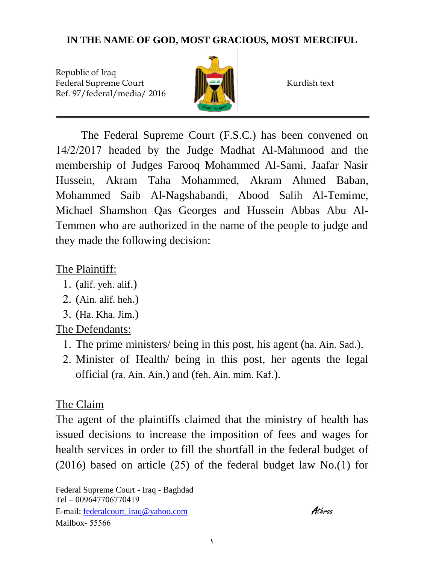## **IN THE NAME OF GOD, MOST GRACIOUS, MOST MERCIFUL**

Republic of Iraq Federal Supreme Court **Kurdish text** Ref. 97/federal/media/2016



The Federal Supreme Court (F.S.C.) has been convened on  $14/2/2017$  headed by the Judge Madhat Al-Mahmood and the membership of Judges Farooq Mohammed Al-Sami, Jaafar Nasir Hussein, Akram Taha Mohammed, Akram Ahmed Baban, Mohammed Saib Al-Nagshabandi, Abood Salih Al-Temime, Michael Shamshon Qas Georges and Hussein Abbas Abu Al-Temmen who are authorized in the name of the people to judge and they made the following decision:

## The Plaintiff:

- . (alif. yeh. alif.)
- . (Ain. alif. heh.)
- . (Ha. Kha. Jim.)

The Defendants:

- . The prime ministers/ being in this post, his agent (ha. Ain. Sad.).
- . Minister of Health/ being in this post, her agents the legal official (ra. Ain. Ain.) and (feh. Ain. mim. Kaf.).

## The Claim

The agent of the plaintiffs claimed that the ministry of health has issued decisions to increase the imposition of fees and wages for health services in order to fill the shortfall in the federal budget of  $(2016)$  based on article  $(25)$  of the federal budget law No.(1) for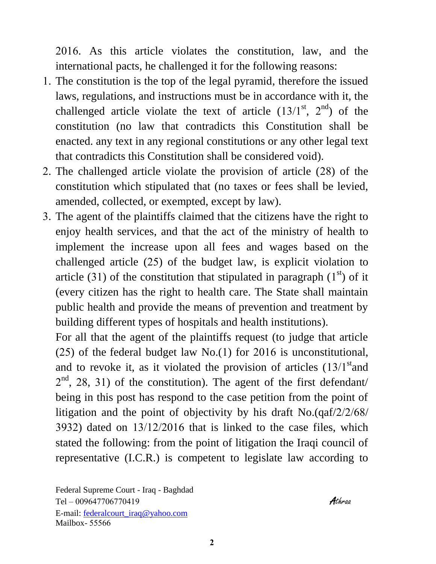. As this article violates the constitution, law, and the international pacts, he challenged it for the following reasons:

- . The constitution is the top of the legal pyramid, therefore the issued laws, regulations, and instructions must be in accordance with it, the challenged article violate the text of article  $(13/1^{st}, 2^{nd})$  of the constitution (no law that contradicts this Constitution shall be enacted. any text in any regional constitutions or any other legal text that contradicts this Constitution shall be considered void).
- 2. The challenged article violate the provision of article  $(28)$  of the constitution which stipulated that (no taxes or fees shall be levied, amended, collected, or exempted, except by law).
- . The agent of the plaintiffs claimed that the citizens have the right to enjoy health services, and that the act of the ministry of health to implement the increase upon all fees and wages based on the challenged article  $(25)$  of the budget law, is explicit violation to article (31) of the constitution that stipulated in paragraph  $(1<sup>st</sup>)$  of it (every citizen has the right to health care. The State shall maintain public health and provide the means of prevention and treatment by building different types of hospitals and health institutions).

For all that the agent of the plaintiffs request (to judge that article  $(25)$  of the federal budget law No.(1) for 2016 is unconstitutional, and to revoke it, as it violated the provision of articles  $(13/1<sup>st</sup>$  and  $2<sup>nd</sup>$ , 28, 31) of the constitution). The agent of the first defendant/ being in this post has respond to the case petition from the point of litigation and the point of objectivity by his draft  $No.(qaf/2/2/68/$  $3932$ ) dated on  $13/12/2016$  that is linked to the case files, which stated the following: from the point of litigation the Iraqi council of representative (I.C.R.) is competent to legislate law according to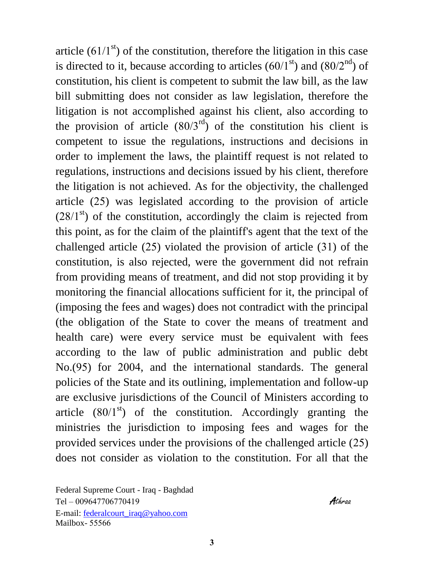article  $(61/1^{\text{st}})$  of the constitution, therefore the litigation in this case is directed to it, because according to articles  $(60/1<sup>st</sup>)$  and  $(80/2<sup>nd</sup>)$  of constitution, his client is competent to submit the law bill, as the law bill submitting does not consider as law legislation, therefore the litigation is not accomplished against his client, also according to the provision of article  $(80/3<sup>rd</sup>)$  of the constitution his client is competent to issue the regulations, instructions and decisions in order to implement the laws, the plaintiff request is not related to regulations, instructions and decisions issued by his client, therefore the litigation is not achieved. As for the objectivity, the challenged article  $(25)$  was legislated according to the provision of article  $(28/1<sup>st</sup>)$  of the constitution, accordingly the claim is rejected from this point, as for the claim of the plaintiff's agent that the text of the challenged article  $(25)$  violated the provision of article  $(31)$  of the constitution, is also rejected, were the government did not refrain from providing means of treatment, and did not stop providing it by monitoring the financial allocations sufficient for it, the principal of (imposing the fees and wages) does not contradict with the principal (the obligation of the State to cover the means of treatment and health care) were every service must be equivalent with fees according to the law of public administration and public debt No.(95) for 2004, and the international standards. The general policies of the State and its outlining, implementation and follow-up are exclusive jurisdictions of the Council of Ministers according to article  $(80/1<sup>st</sup>)$  of the constitution. Accordingly granting the ministries the jurisdiction to imposing fees and wages for the provided services under the provisions of the challenged article  $(25)$ does not consider as violation to the constitution. For all that the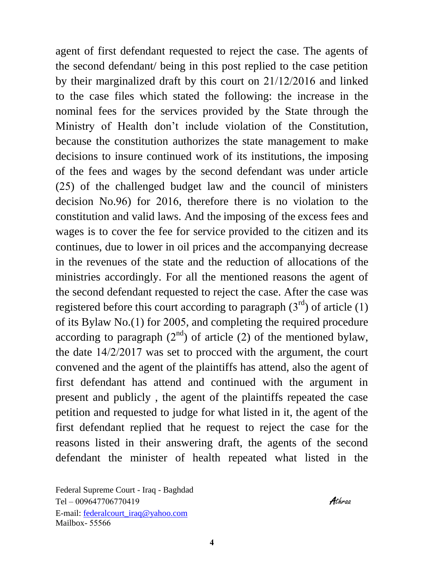agent of first defendant requested to reject the case. The agents of the second defendant/ being in this post replied to the case petition by their marginalized draft by this court on  $21/12/2016$  and linked to the case files which stated the following: the increase in the nominal fees for the services provided by the State through the Ministry of Health don't include violation of the Constitution, because the constitution authorizes the state management to make decisions to insure continued work of its institutions, the imposing of the fees and wages by the second defendant was under article  $(25)$  of the challenged budget law and the council of ministers decision No.  $96$ ) for 2016, therefore there is no violation to the constitution and valid laws. And the imposing of the excess fees and wages is to cover the fee for service provided to the citizen and its continues, due to lower in oil prices and the accompanying decrease in the revenues of the state and the reduction of allocations of the ministries accordingly. For all the mentioned reasons the agent of the second defendant requested to reject the case. After the case was registered before this court according to paragraph  $(3<sup>rd</sup>)$  of article  $(1)$ of its Bylaw No. $(1)$  for 2005, and completing the required procedure according to paragraph  $(2^{nd})$  of article (2) of the mentioned bylaw, the date  $14/2/2017$  was set to procced with the argument, the court convened and the agent of the plaintiffs has attend, also the agent of first defendant has attend and continued with the argument in present and publicly , the agent of the plaintiffs repeated the case petition and requested to judge for what listed in it, the agent of the first defendant replied that he request to reject the case for the reasons listed in their answering draft, the agents of the second defendant the minister of health repeated what listed in the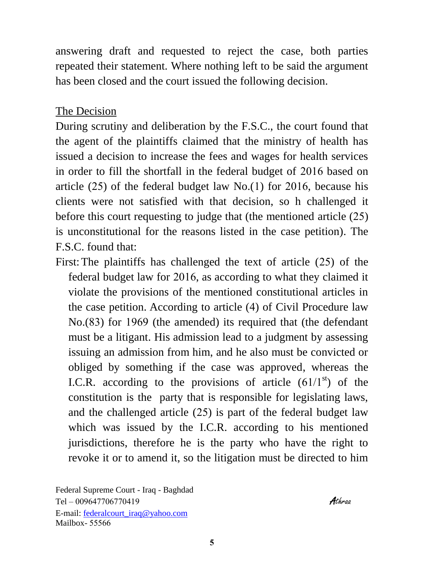answering draft and requested to reject the case, both parties repeated their statement. Where nothing left to be said the argument has been closed and the court issued the following decision.

## The Decision

During scrutiny and deliberation by the F.S.C., the court found that the agent of the plaintiffs claimed that the ministry of health has issued a decision to increase the fees and wages for health services in order to fill the shortfall in the federal budget of 2016 based on article  $(25)$  of the federal budget law No.(1) for 2016, because his clients were not satisfied with that decision, so h challenged it before this court requesting to judge that (the mentioned article  $(25)$ ) is unconstitutional for the reasons listed in the case petition). The F.S.C. found that:

First: The plaintiffs has challenged the text of article  $(25)$  of the federal budget law for 2016, as according to what they claimed it violate the provisions of the mentioned constitutional articles in the case petition. According to article (4) of Civil Procedure law No. $(83)$  for 1969 (the amended) its required that (the defendant must be a litigant. His admission lead to a judgment by assessing issuing an admission from him, and he also must be convicted or obliged by something if the case was approved, whereas the I.C.R. according to the provisions of article  $(61/1<sup>st</sup>)$  of the constitution is the party that is responsible for legislating laws, and the challenged article  $(25)$  is part of the federal budget law which was issued by the I.C.R. according to his mentioned jurisdictions, therefore he is the party who have the right to revoke it or to amend it, so the litigation must be directed to him